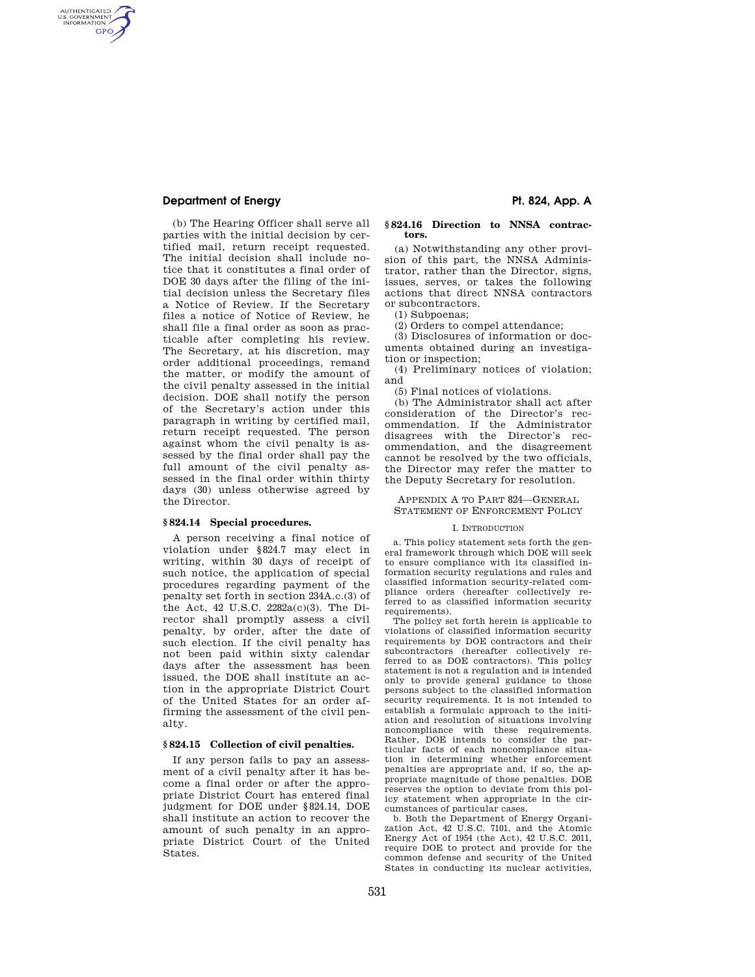AUTHENTICATED<br>U.S. GOVERNMENT<br>INFORMATION **GPO** 

> (b) The Hearing Officer shall serve all parties with the initial decision by certified mail, return receipt requested. The initial decision shall include notice that it constitutes a final order of DOE 30 days after the filing of the initial decision unless the Secretary files a Notice of Review. If the Secretary files a notice of Notice of Review, he shall file a final order as soon as practicable after completing his review. The Secretary, at his discretion, may order additional proceedings, remand the matter, or modify the amount of the civil penalty assessed in the initial decision. DOE shall notify the person of the Secretary's action under this paragraph in writing by certified mail, return receipt requested. The person against whom the civil penalty is assessed by the final order shall pay the full amount of the civil penalty assessed in the final order within thirty days (30) unless otherwise agreed by the Director.

#### **§ 824.14 Special procedures.**

A person receiving a final notice of violation under §824.7 may elect in writing, within 30 days of receipt of such notice, the application of special procedures regarding payment of the penalty set forth in section 234A.c.(3) of the Act, 42 U.S.C. 2282a(c)(3). The Director shall promptly assess a civil penalty, by order, after the date of such election. If the civil penalty has not been paid within sixty calendar days after the assessment has been issued, the DOE shall institute an action in the appropriate District Court of the United States for an order affirming the assessment of the civil penalty.

## **§ 824.15 Collection of civil penalties.**

If any person fails to pay an assessment of a civil penalty after it has become a final order or after the appropriate District Court has entered final judgment for DOE under §824.14, DOE shall institute an action to recover the amount of such penalty in an appropriate District Court of the United States.

### **§ 824.16 Direction to NNSA contractors.**

(a) Notwithstanding any other provision of this part, the NNSA Administrator, rather than the Director, signs, issues, serves, or takes the following actions that direct NNSA contractors or subcontractors.

(1) Subpoenas;

(2) Orders to compel attendance;

(3) Disclosures of information or documents obtained during an investigation or inspection;

(4) Preliminary notices of violation; and

(5) Final notices of violations.

(b) The Administrator shall act after consideration of the Director's recommendation. If the Administrator disagrees with the Director's recommendation, and the disagreement cannot be resolved by the two officials, the Director may refer the matter to the Deputy Secretary for resolution.

## APPENDIX A TO PART 824—GENERAL STATEMENT OF ENFORCEMENT POLICY

### I. INTRODUCTION

a. This policy statement sets forth the general framework through which DOE will seek to ensure compliance with its classified information security regulations and rules and classified information security-related compliance orders (hereafter collectively referred to as classified information security requirements).

The policy set forth herein is applicable to violations of classified information security requirements by DOE contractors and their subcontractors (hereafter collectively referred to as DOE contractors). This policy statement is not a regulation and is intended only to provide general guidance to those persons subject to the classified information security requirements. It is not intended to establish a formulaic approach to the initiation and resolution of situations involving noncompliance with these requirements. Rather, DOE intends to consider the particular facts of each noncompliance situation in determining whether enforcement penalties are appropriate and, if so, the appropriate magnitude of those penalties. DOE reserves the option to deviate from this policy statement when appropriate in the circumstances of particular cases.

b. Both the Department of Energy Organization Act, 42 U.S.C. 7101, and the Atomic Energy Act of 1954 (the Act), 42 U.S.C. 2011, require DOE to protect and provide for the common defense and security of the United States in conducting its nuclear activities,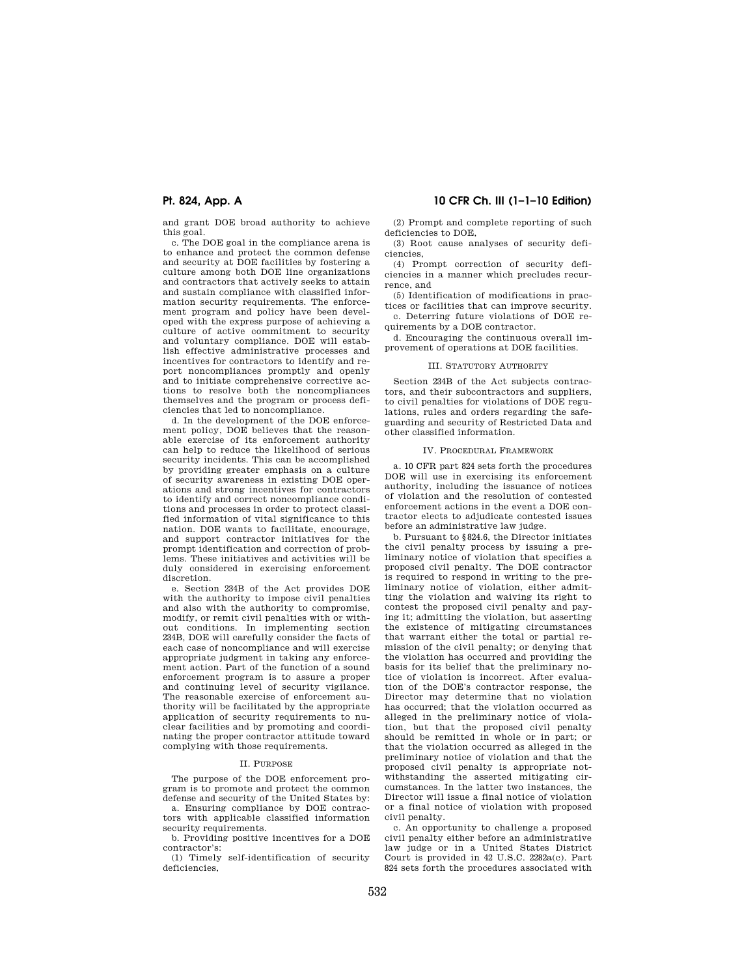**Pt. 824, App. A 10 CFR Ch. III (1–1–10 Edition)** 

and grant DOE broad authority to achieve this goal.

c. The DOE goal in the compliance arena is to enhance and protect the common defense and security at DOE facilities by fostering a culture among both DOE line organizations and contractors that actively seeks to attain and sustain compliance with classified information security requirements. The enforcement program and policy have been developed with the express purpose of achieving a culture of active commitment to security and voluntary compliance. DOE will establish effective administrative processes and incentives for contractors to identify and report noncompliances promptly and openly and to initiate comprehensive corrective actions to resolve both the noncompliances themselves and the program or process deficiencies that led to noncompliance.

d. In the development of the DOE enforcement policy, DOE believes that the reasonable exercise of its enforcement authority can help to reduce the likelihood of serious security incidents. This can be accomplished by providing greater emphasis on a culture of security awareness in existing DOE operations and strong incentives for contractors to identify and correct noncompliance conditions and processes in order to protect classified information of vital significance to this nation. DOE wants to facilitate, encourage, and support contractor initiatives for the prompt identification and correction of problems. These initiatives and activities will be duly considered in exercising enforcement discretion.

e. Section 234B of the Act provides DOE with the authority to impose civil penalties and also with the authority to compromise, modify, or remit civil penalties with or without conditions. In implementing section 234B, DOE will carefully consider the facts of each case of noncompliance and will exercise appropriate judgment in taking any enforcement action. Part of the function of a sound enforcement program is to assure a proper and continuing level of security vigilance. The reasonable exercise of enforcement authority will be facilitated by the appropriate application of security requirements to nuclear facilities and by promoting and coordinating the proper contractor attitude toward complying with those requirements.

#### II. PURPOSE

The purpose of the DOE enforcement program is to promote and protect the common defense and security of the United States by:

a. Ensuring compliance by DOE contractors with applicable classified information security requirements.

b. Providing positive incentives for a DOE contractor's:

(1) Timely self-identification of security deficiencies,

(2) Prompt and complete reporting of such deficiencies to DOE,

(3) Root cause analyses of security deficiencies,

(4) Prompt correction of security deficiencies in a manner which precludes recurrence, and

(5) Identification of modifications in practices or facilities that can improve security.

c. Deterring future violations of DOE requirements by a DOE contractor.

d. Encouraging the continuous overall improvement of operations at DOE facilities.

#### III. STATUTORY AUTHORITY

Section 234B of the Act subjects contractors, and their subcontractors and suppliers, to civil penalties for violations of DOE regulations, rules and orders regarding the safeguarding and security of Restricted Data and other classified information.

#### IV. PROCEDURAL FRAMEWORK

a. 10 CFR part 824 sets forth the procedures DOE will use in exercising its enforcement authority, including the issuance of notices of violation and the resolution of contested enforcement actions in the event a DOE contractor elects to adjudicate contested issues before an administrative law judge.

b. Pursuant to §824.6, the Director initiates the civil penalty process by issuing a preliminary notice of violation that specifies a proposed civil penalty. The DOE contractor is required to respond in writing to the preliminary notice of violation, either admitting the violation and waiving its right to contest the proposed civil penalty and paying it; admitting the violation, but asserting the existence of mitigating circumstances that warrant either the total or partial remission of the civil penalty; or denying that the violation has occurred and providing the basis for its belief that the preliminary notice of violation is incorrect. After evaluation of the DOE's contractor response, the Director may determine that no violation has occurred; that the violation occurred as alleged in the preliminary notice of violation, but that the proposed civil penalty should be remitted in whole or in part; or that the violation occurred as alleged in the preliminary notice of violation and that the proposed civil penalty is appropriate notwithstanding the asserted mitigating circumstances. In the latter two instances, the Director will issue a final notice of violation or a final notice of violation with proposed civil penalty.

c. An opportunity to challenge a proposed civil penalty either before an administrative law judge or in a United States District Court is provided in 42 U.S.C. 2282a(c). Part 824 sets forth the procedures associated with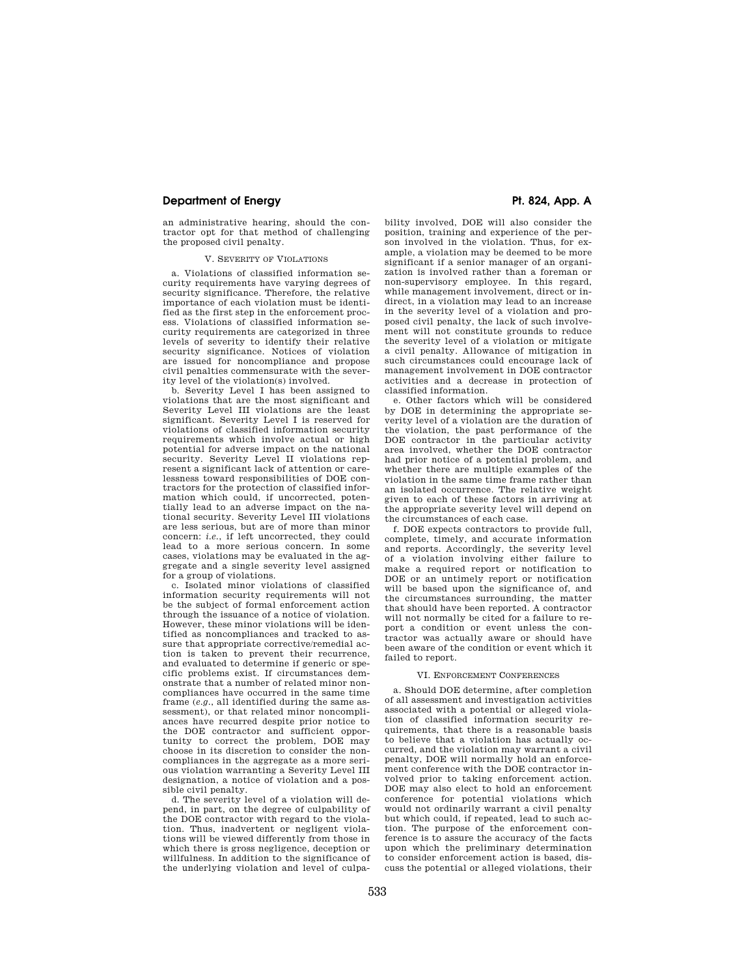an administrative hearing, should the contractor opt for that method of challenging the proposed civil penalty.

## V. SEVERITY OF VIOLATIONS

a. Violations of classified information security requirements have varying degrees of security significance. Therefore, the relative importance of each violation must be identified as the first step in the enforcement process. Violations of classified information security requirements are categorized in three levels of severity to identify their relative security significance. Notices of violation are issued for noncompliance and propose civil penalties commensurate with the severity level of the violation(s) involved.

b. Severity Level I has been assigned to violations that are the most significant and Severity Level III violations are the least significant. Severity Level I is reserved for violations of classified information security requirements which involve actual or high potential for adverse impact on the national security. Severity Level II violations represent a significant lack of attention or carelessness toward responsibilities of DOE contractors for the protection of classified information which could, if uncorrected, potentially lead to an adverse impact on the national security. Severity Level III violations are less serious, but are of more than minor concern: *i.e.*, if left uncorrected, they could lead to a more serious concern. In some cases, violations may be evaluated in the aggregate and a single severity level assigned for a group of violations.

c. Isolated minor violations of classified information security requirements will not be the subject of formal enforcement action through the issuance of a notice of violation. However, these minor violations will be identified as noncompliances and tracked to assure that appropriate corrective/remedial action is taken to prevent their recurrence, and evaluated to determine if generic or specific problems exist. If circumstances demonstrate that a number of related minor noncompliances have occurred in the same time frame (*e.g.*, all identified during the same assessment), or that related minor noncompliances have recurred despite prior notice to the DOE contractor and sufficient opportunity to correct the problem, DOE may choose in its discretion to consider the noncompliances in the aggregate as a more serious violation warranting a Severity Level III designation, a notice of violation and a possible civil penalty.

d. The severity level of a violation will depend, in part, on the degree of culpability of the DOE contractor with regard to the violation. Thus, inadvertent or negligent violations will be viewed differently from those in which there is gross negligence, deception or willfulness. In addition to the significance of the underlying violation and level of culpa-

bility involved, DOE will also consider the position, training and experience of the person involved in the violation. Thus, for example, a violation may be deemed to be more significant if a senior manager of an organization is involved rather than a foreman or non-supervisory employee. In this regard, while management involvement, direct or indirect, in a violation may lead to an increase in the severity level of a violation and proposed civil penalty, the lack of such involvement will not constitute grounds to reduce the severity level of a violation or mitigate a civil penalty. Allowance of mitigation in such circumstances could encourage lack of management involvement in DOE contractor activities and a decrease in protection of classified information.

e. Other factors which will be considered by DOE in determining the appropriate severity level of a violation are the duration of the violation, the past performance of the DOE contractor in the particular activity area involved, whether the DOE contractor had prior notice of a potential problem, and whether there are multiple examples of the violation in the same time frame rather than an isolated occurrence. The relative weight given to each of these factors in arriving at the appropriate severity level will depend on the circumstances of each case.

f. DOE expects contractors to provide full, complete, timely, and accurate information and reports. Accordingly, the severity level of a violation involving either failure to make a required report or notification to DOE or an untimely report or notification will be based upon the significance of, and the circumstances surrounding, the matter that should have been reported. A contractor will not normally be cited for a failure to report a condition or event unless the contractor was actually aware or should have been aware of the condition or event which it failed to report.

#### VI. ENFORCEMENT CONFERENCES

a. Should DOE determine, after completion of all assessment and investigation activities associated with a potential or alleged violation of classified information security requirements, that there is a reasonable basis to believe that a violation has actually occurred, and the violation may warrant a civil penalty, DOE will normally hold an enforcement conference with the DOE contractor involved prior to taking enforcement action. DOE may also elect to hold an enforcement conference for potential violations which would not ordinarily warrant a civil penalty but which could, if repeated, lead to such action. The purpose of the enforcement conference is to assure the accuracy of the facts upon which the preliminary determination to consider enforcement action is based, discuss the potential or alleged violations, their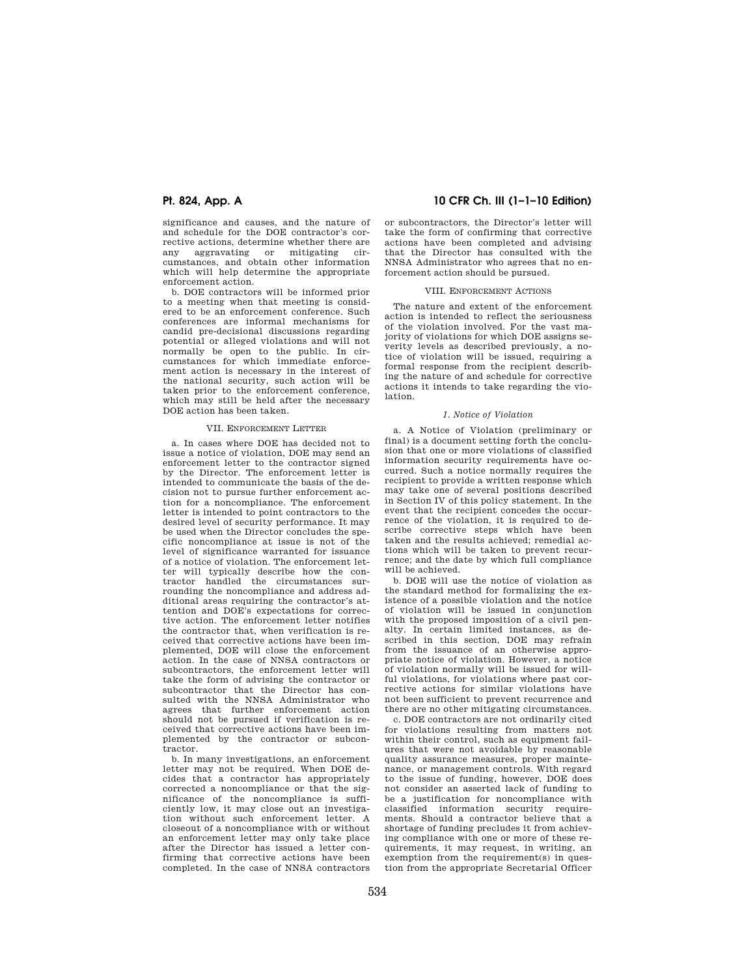significance and causes, and the nature of and schedule for the DOE contractor's corrective actions, determine whether there are any aggravating or mitigating circumstances, and obtain other information which will help determine the appropriate enforcement action.

b. DOE contractors will be informed prior to a meeting when that meeting is considered to be an enforcement conference. Such conferences are informal mechanisms for candid pre-decisional discussions regarding potential or alleged violations and will not normally be open to the public. In circumstances for which immediate enforcement action is necessary in the interest of the national security, such action will be taken prior to the enforcement conference, which may still be held after the necessary DOE action has been taken.

### VII. ENFORCEMENT LETTER

a. In cases where DOE has decided not to issue a notice of violation, DOE may send an enforcement letter to the contractor signed by the Director. The enforcement letter is intended to communicate the basis of the decision not to pursue further enforcement action for a noncompliance. The enforcement letter is intended to point contractors to the desired level of security performance. It may be used when the Director concludes the specific noncompliance at issue is not of the level of significance warranted for issuance of a notice of violation. The enforcement letter will typically describe how the contractor handled the circumstances surrounding the noncompliance and address additional areas requiring the contractor's attention and DOE's expectations for corrective action. The enforcement letter notifies the contractor that, when verification is received that corrective actions have been implemented, DOE will close the enforcement action. In the case of NNSA contractors or subcontractors, the enforcement letter will take the form of advising the contractor or subcontractor that the Director has consulted with the NNSA Administrator who agrees that further enforcement action should not be pursued if verification is received that corrective actions have been implemented by the contractor or subcontractor.

b. In many investigations, an enforcement letter may not be required. When DOE decides that a contractor has appropriately corrected a noncompliance or that the significance of the noncompliance is sufficiently low, it may close out an investigation without such enforcement letter. A closeout of a noncompliance with or without an enforcement letter may only take place after the Director has issued a letter confirming that corrective actions have been completed. In the case of NNSA contractors

## **Pt. 824, App. A 10 CFR Ch. III (1–1–10 Edition)**

or subcontractors, the Director's letter will take the form of confirming that corrective actions have been completed and advising that the Director has consulted with the NNSA Administrator who agrees that no enforcement action should be pursued.

### VIII. ENFORCEMENT ACTIONS

The nature and extent of the enforcement action is intended to reflect the seriousness of the violation involved. For the vast majority of violations for which DOE assigns severity levels as described previously, a notice of violation will be issued, requiring a formal response from the recipient describing the nature of and schedule for corrective actions it intends to take regarding the violation.

### *1. Notice of Violation*

a. A Notice of Violation (preliminary or final) is a document setting forth the conclusion that one or more violations of classified information security requirements have occurred. Such a notice normally requires the recipient to provide a written response which may take one of several positions described in Section IV of this policy statement. In the event that the recipient concedes the occurrence of the violation, it is required to describe corrective steps which have been taken and the results achieved; remedial actions which will be taken to prevent recurrence; and the date by which full compliance will be achieved.

b. DOE will use the notice of violation as the standard method for formalizing the existence of a possible violation and the notice of violation will be issued in conjunction with the proposed imposition of a civil penalty. In certain limited instances, as described in this section, DOE may refrain from the issuance of an otherwise appropriate notice of violation. However, a notice of violation normally will be issued for willful violations, for violations where past corrective actions for similar violations have not been sufficient to prevent recurrence and there are no other mitigating circumstances.

c. DOE contractors are not ordinarily cited for violations resulting from matters not within their control, such as equipment failures that were not avoidable by reasonable quality assurance measures, proper maintenance, or management controls. With regard to the issue of funding, however, DOE does not consider an asserted lack of funding to be a justification for noncompliance with classified information security requirements. Should a contractor believe that a shortage of funding precludes it from achieving compliance with one or more of these requirements, it may request, in writing, an exemption from the requirement(s) in question from the appropriate Secretarial Officer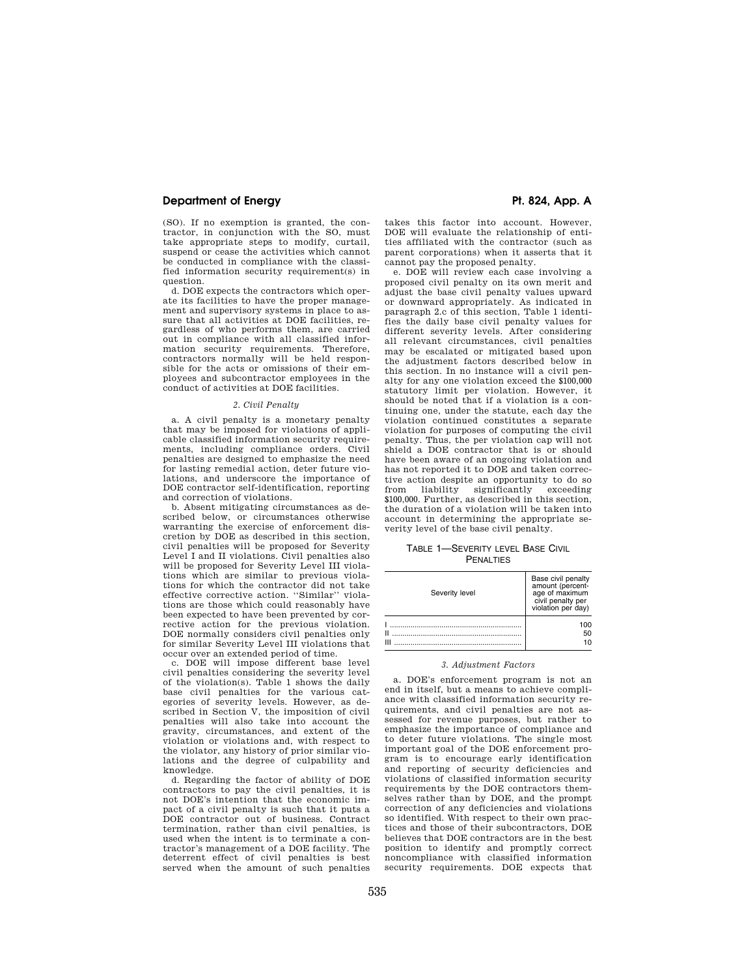(SO). If no exemption is granted, the contractor, in conjunction with the SO, must take appropriate steps to modify, curtail, suspend or cease the activities which cannot be conducted in compliance with the classified information security requirement(s) in question.

d. DOE expects the contractors which operate its facilities to have the proper management and supervisory systems in place to assure that all activities at DOE facilities, regardless of who performs them, are carried out in compliance with all classified information security requirements. Therefore, contractors normally will be held responsible for the acts or omissions of their employees and subcontractor employees in the conduct of activities at DOE facilities.

## *2. Civil Penalty*

a. A civil penalty is a monetary penalty that may be imposed for violations of applicable classified information security requirements, including compliance orders. Civil penalties are designed to emphasize the need for lasting remedial action, deter future violations, and underscore the importance of DOE contractor self-identification, reporting and correction of violations.

b. Absent mitigating circumstances as described below, or circumstances otherwise warranting the exercise of enforcement discretion by DOE as described in this section, civil penalties will be proposed for Severity Level I and II violations. Civil penalties also will be proposed for Severity Level III violations which are similar to previous violations for which the contractor did not take effective corrective action. ''Similar'' violations are those which could reasonably have been expected to have been prevented by corrective action for the previous violation. DOE normally considers civil penalties only for similar Severity Level III violations that occur over an extended period of time.

c. DOE will impose different base level civil penalties considering the severity level of the violation(s). Table 1 shows the daily base civil penalties for the various categories of severity levels. However, as described in Section V, the imposition of civil penalties will also take into account the gravity, circumstances, and extent of the violation or violations and, with respect to the violator, any history of prior similar violations and the degree of culpability and knowledge.

d. Regarding the factor of ability of DOE contractors to pay the civil penalties, it is not DOE's intention that the economic impact of a civil penalty is such that it puts a DOE contractor out of business. Contract termination, rather than civil penalties, is used when the intent is to terminate a contractor's management of a DOE facility. The deterrent effect of civil penalties is best served when the amount of such penalties

takes this factor into account. However, DOE will evaluate the relationship of entities affiliated with the contractor (such as parent corporations) when it asserts that it cannot pay the proposed penalty.

e. DOE will review each case involving a proposed civil penalty on its own merit and adjust the base civil penalty values upward or downward appropriately. As indicated in paragraph 2.c of this section, Table 1 identifies the daily base civil penalty values for different severity levels. After considering all relevant circumstances, civil penalties may be escalated or mitigated based upon the adjustment factors described below in this section. In no instance will a civil penalty for any one violation exceed the \$100,000 statutory limit per violation. However, it should be noted that if a violation is a continuing one, under the statute, each day the violation continued constitutes a separate violation for purposes of computing the civil penalty. Thus, the per violation cap will not shield a DOE contractor that is or should have been aware of an ongoing violation and has not reported it to DOE and taken corrective action despite an opportunity to do so<br>from liability significantly exceeding from liability significantly exceeding \$100,000. Further, as described in this section, the duration of a violation will be taken into account in determining the appropriate severity level of the base civil penalty.

### TABLE 1—SEVERITY LEVEL BASE CIVIL PENALTIES

| Severity level | Base civil penalty<br>amount (percent-<br>age of maximum<br>civil penalty per<br>violation per day) |
|----------------|-----------------------------------------------------------------------------------------------------|
| н<br>ш         | 100<br>50<br>10                                                                                     |

#### *3. Adjustment Factors*

a. DOE's enforcement program is not an end in itself, but a means to achieve compliance with classified information security requirements, and civil penalties are not assessed for revenue purposes, but rather to emphasize the importance of compliance and to deter future violations. The single most important goal of the DOE enforcement program is to encourage early identification and reporting of security deficiencies and violations of classified information security requirements by the DOE contractors themselves rather than by DOE, and the prompt correction of any deficiencies and violations so identified. With respect to their own practices and those of their subcontractors, DOE believes that DOE contractors are in the best position to identify and promptly correct noncompliance with classified information security requirements. DOE expects that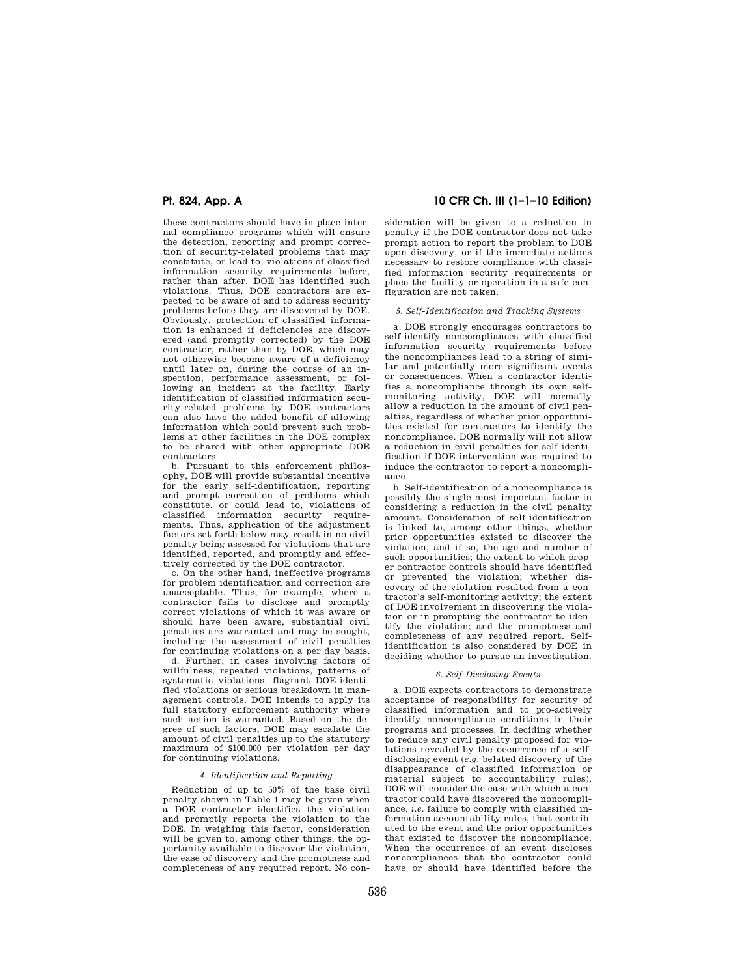these contractors should have in place internal compliance programs which will ensure the detection, reporting and prompt correction of security-related problems that may constitute, or lead to, violations of classified information security requirements before, rather than after, DOE has identified such violations. Thus, DOE contractors are expected to be aware of and to address security problems before they are discovered by DOE. Obviously, protection of classified information is enhanced if deficiencies are discovered (and promptly corrected) by the DOE contractor, rather than by DOE, which may not otherwise become aware of a deficiency until later on, during the course of an inspection, performance assessment, or fol-lowing an incident at the facility. Early identification of classified information security-related problems by DOE contractors can also have the added benefit of allowing information which could prevent such problems at other facilities in the DOE complex to be shared with other appropriate DOE contractors.

b. Pursuant to this enforcement philosophy, DOE will provide substantial incentive for the early self-identification, reporting and prompt correction of problems which constitute, or could lead to, violations of classified information security requirements. Thus, application of the adjustment factors set forth below may result in no civil penalty being assessed for violations that are identified, reported, and promptly and effectively corrected by the DOE contractor.

c. On the other hand, ineffective programs for problem identification and correction are unacceptable. Thus, for example, where a contractor fails to disclose and promptly correct violations of which it was aware or should have been aware, substantial civil penalties are warranted and may be sought, including the assessment of civil penalties for continuing violations on a per day basis.

d. Further, in cases involving factors of willfulness, repeated violations, patterns of systematic violations, flagrant DOE-identified violations or serious breakdown in management controls, DOE intends to apply its full statutory enforcement authority where such action is warranted. Based on the degree of such factors, DOE may escalate the amount of civil penalties up to the statutory maximum of \$100,000 per violation per day for continuing violations.

#### *4. Identification and Reporting*

Reduction of up to 50% of the base civil penalty shown in Table 1 may be given when a DOE contractor identifies the violation and promptly reports the violation to the DOE. In weighing this factor, consideration will be given to, among other things, the opportunity available to discover the violation, the ease of discovery and the promptness and completeness of any required report. No con-

## **Pt. 824, App. A 10 CFR Ch. III (1–1–10 Edition)**

sideration will be given to a reduction in penalty if the DOE contractor does not take prompt action to report the problem to DOE upon discovery, or if the immediate actions necessary to restore compliance with classified information security requirements or place the facility or operation in a safe configuration are not taken.

## *5. Self-Identification and Tracking Systems*

a. DOE strongly encourages contractors to self-identify noncompliances with classified information security requirements before the noncompliances lead to a string of similar and potentially more significant events or consequences. When a contractor identifies a noncompliance through its own selfmonitoring activity, DOE will normally allow a reduction in the amount of civil penalties, regardless of whether prior opportunities existed for contractors to identify the noncompliance. DOE normally will not allow a reduction in civil penalties for self-identification if DOE intervention was required to induce the contractor to report a noncompliance.

b. Self-identification of a noncompliance is possibly the single most important factor in considering a reduction in the civil penalty amount. Consideration of self-identification is linked to, among other things, whether prior opportunities existed to discover the violation, and if so, the age and number of such opportunities; the extent to which proper contractor controls should have identified or prevented the violation; whether discovery of the violation resulted from a contractor's self-monitoring activity; the extent of DOE involvement in discovering the violation or in prompting the contractor to identify the violation; and the promptness and completeness of any required report. Selfidentification is also considered by DOE in deciding whether to pursue an investigation.

#### *6. Self-Disclosing Events*

a. DOE expects contractors to demonstrate acceptance of responsibility for security of classified information and to pro-actively identify noncompliance conditions in their programs and processes. In deciding whether to reduce any civil penalty proposed for violations revealed by the occurrence of a selfdisclosing event (*e.g.* belated discovery of the disappearance of classified information or material subject to accountability rules), DOE will consider the ease with which a contractor could have discovered the noncompliance, *i.e.* failure to comply with classified information accountability rules, that contributed to the event and the prior opportunities that existed to discover the noncompliance. When the occurrence of an event discloses noncompliances that the contractor could have or should have identified before the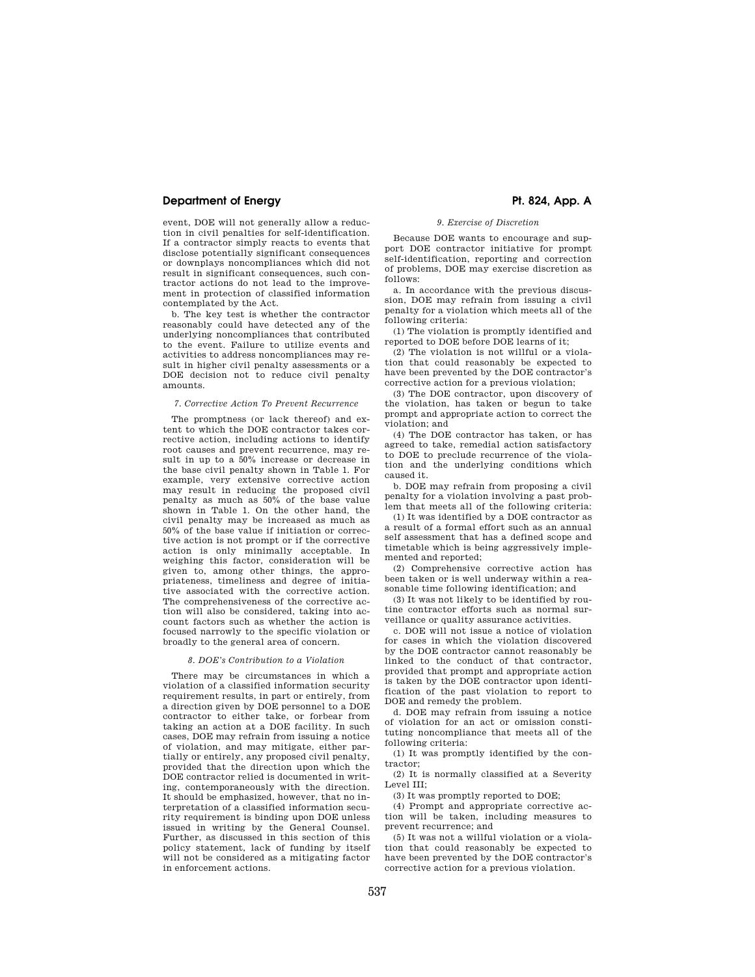event, DOE will not generally allow a reduction in civil penalties for self-identification. If a contractor simply reacts to events that disclose potentially significant consequences or downplays noncompliances which did not result in significant consequences, such contractor actions do not lead to the improvement in protection of classified information contemplated by the Act.

b. The key test is whether the contractor reasonably could have detected any of the underlying noncompliances that contributed to the event. Failure to utilize events and activities to address noncompliances may result in higher civil penalty assessments or a DOE decision not to reduce civil penalty amounts.

#### *7. Corrective Action To Prevent Recurrence*

The promptness (or lack thereof) and extent to which the DOE contractor takes corrective action, including actions to identify root causes and prevent recurrence, may result in up to a 50% increase or decrease in the base civil penalty shown in Table 1. For example, very extensive corrective action may result in reducing the proposed civil penalty as much as 50% of the base value shown in Table 1. On the other hand, the civil penalty may be increased as much as 50% of the base value if initiation or corrective action is not prompt or if the corrective action is only minimally acceptable. In weighing this factor, consideration will be given to, among other things, the appropriateness, timeliness and degree of initiative associated with the corrective action. The comprehensiveness of the corrective action will also be considered, taking into account factors such as whether the action is focused narrowly to the specific violation or broadly to the general area of concern.

#### *8. DOE's Contribution to a Violation*

There may be circumstances in which a violation of a classified information security requirement results, in part or entirely, from a direction given by DOE personnel to a DOE contractor to either take, or forbear from taking an action at a DOE facility. In such cases, DOE may refrain from issuing a notice of violation, and may mitigate, either partially or entirely, any proposed civil penalty, provided that the direction upon which the DOE contractor relied is documented in writing, contemporaneously with the direction. It should be emphasized, however, that no interpretation of a classified information security requirement is binding upon DOE unless issued in writing by the General Counsel. Further, as discussed in this section of this policy statement, lack of funding by itself will not be considered as a mitigating factor in enforcement actions.

## *9. Exercise of Discretion*

Because DOE wants to encourage and support DOE contractor initiative for prompt self-identification, reporting and correction of problems, DOE may exercise discretion as follows:

a. In accordance with the previous discussion, DOE may refrain from issuing a civil penalty for a violation which meets all of the following criteria:

(1) The violation is promptly identified and reported to DOE before DOE learns of it;

(2) The violation is not willful or a violation that could reasonably be expected to have been prevented by the DOE contractor's corrective action for a previous violation;

(3) The DOE contractor, upon discovery of the violation, has taken or begun to take prompt and appropriate action to correct the violation; and

(4) The DOE contractor has taken, or has agreed to take, remedial action satisfactory to DOE to preclude recurrence of the violation and the underlying conditions which caused it.

b. DOE may refrain from proposing a civil penalty for a violation involving a past problem that meets all of the following criteria:

(1) It was identified by a DOE contractor as a result of a formal effort such as an annual self assessment that has a defined scope and timetable which is being aggressively implemented and reported;

(2) Comprehensive corrective action has been taken or is well underway within a reasonable time following identification; and

(3) It was not likely to be identified by routine contractor efforts such as normal surveillance or quality assurance activities.

c. DOE will not issue a notice of violation for cases in which the violation discovered by the DOE contractor cannot reasonably be linked to the conduct of that contractor, provided that prompt and appropriate action is taken by the DOE contractor upon identification of the past violation to report to DOE and remedy the problem.

d. DOE may refrain from issuing a notice of violation for an act or omission constituting noncompliance that meets all of the following criteria:

(1) It was promptly identified by the contractor;

(2) It is normally classified at a Severity Level III;

(3) It was promptly reported to DOE;

(4) Prompt and appropriate corrective action will be taken, including measures to prevent recurrence; and

(5) It was not a willful violation or a violation that could reasonably be expected to have been prevented by the DOE contractor's corrective action for a previous violation.